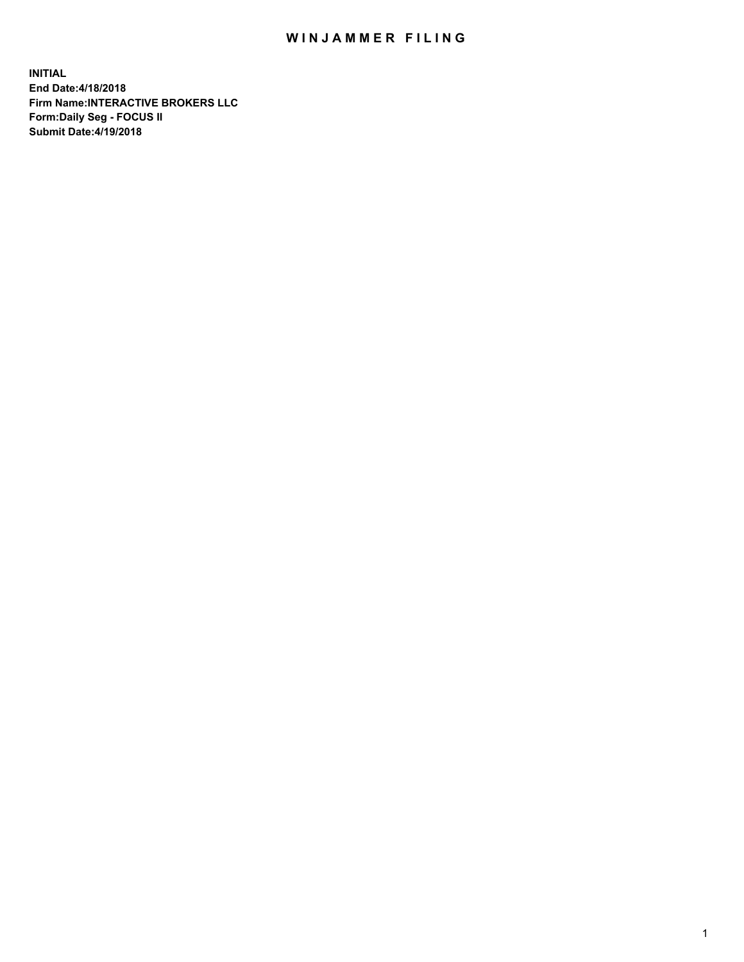## WIN JAMMER FILING

**INITIAL End Date:4/18/2018 Firm Name:INTERACTIVE BROKERS LLC Form:Daily Seg - FOCUS II Submit Date:4/19/2018**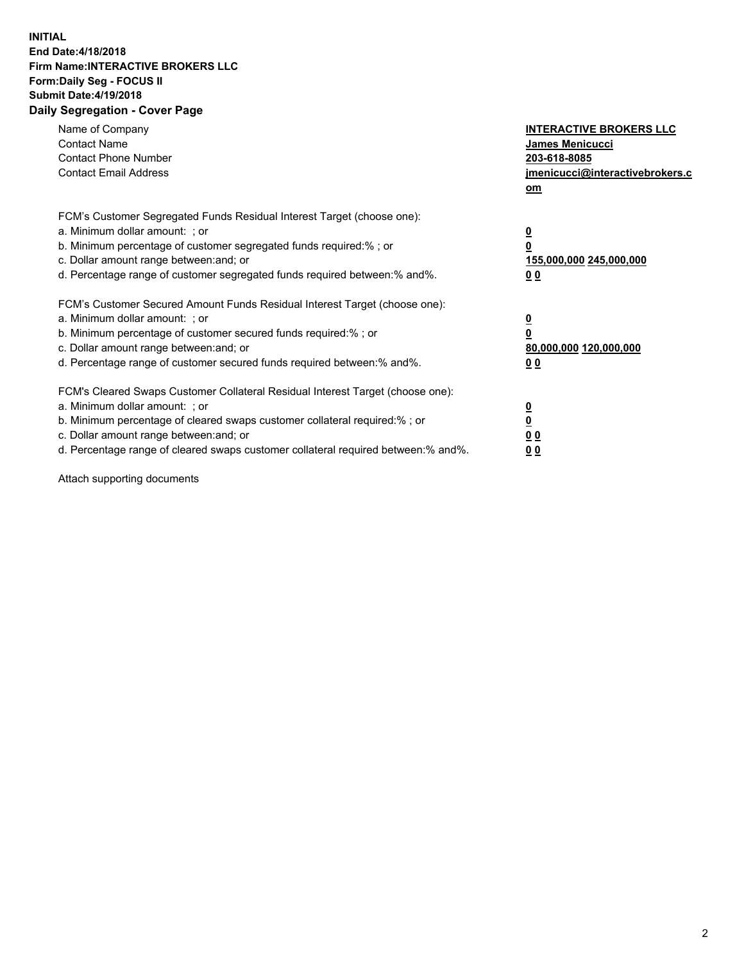## **INITIAL End Date:4/18/2018 Firm Name:INTERACTIVE BROKERS LLC Form:Daily Seg - FOCUS II Submit Date:4/19/2018 Daily Segregation - Cover Page**

| Name of Company<br><b>Contact Name</b><br><b>Contact Phone Number</b><br><b>Contact Email Address</b>                                                                                                                                                                                                                          | <b>INTERACTIVE BROKERS LLC</b><br><b>James Menicucci</b><br>203-618-8085<br>jmenicucci@interactivebrokers.c<br>om |
|--------------------------------------------------------------------------------------------------------------------------------------------------------------------------------------------------------------------------------------------------------------------------------------------------------------------------------|-------------------------------------------------------------------------------------------------------------------|
| FCM's Customer Segregated Funds Residual Interest Target (choose one):<br>a. Minimum dollar amount: ; or<br>b. Minimum percentage of customer segregated funds required:% ; or<br>c. Dollar amount range between: and; or<br>d. Percentage range of customer segregated funds required between: % and %.                       | $\overline{\mathbf{0}}$<br>0<br>155,000,000 245,000,000<br>00                                                     |
| FCM's Customer Secured Amount Funds Residual Interest Target (choose one):<br>a. Minimum dollar amount: ; or<br>b. Minimum percentage of customer secured funds required:%; or<br>c. Dollar amount range between: and; or<br>d. Percentage range of customer secured funds required between: % and %.                          | $\overline{\mathbf{0}}$<br>0<br>80,000,000 120,000,000<br>00                                                      |
| FCM's Cleared Swaps Customer Collateral Residual Interest Target (choose one):<br>a. Minimum dollar amount: ; or<br>b. Minimum percentage of cleared swaps customer collateral required:% ; or<br>c. Dollar amount range between: and; or<br>d. Percentage range of cleared swaps customer collateral required between:% and%. | $\overline{\mathbf{0}}$<br>$\overline{\mathbf{0}}$<br>00<br>0 <sub>0</sub>                                        |

Attach supporting documents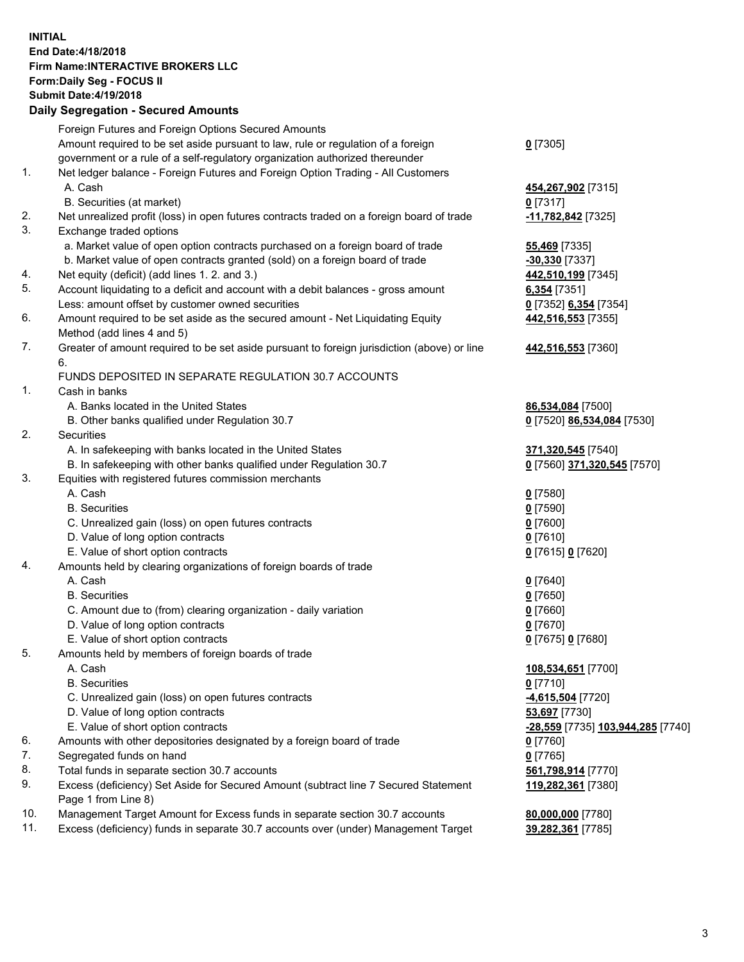## **INITIAL End Date:4/18/2018 Firm Name:INTERACTIVE BROKERS LLC Form:Daily Seg - FOCUS II Submit Date:4/19/2018 Daily Segregation - Secured Amounts**

|     | Daily Jegiegation - Jeculed Aniounts                                                        |                                          |
|-----|---------------------------------------------------------------------------------------------|------------------------------------------|
|     | Foreign Futures and Foreign Options Secured Amounts                                         |                                          |
|     | Amount required to be set aside pursuant to law, rule or regulation of a foreign            | $0$ [7305]                               |
|     | government or a rule of a self-regulatory organization authorized thereunder                |                                          |
| 1.  | Net ledger balance - Foreign Futures and Foreign Option Trading - All Customers             |                                          |
|     | A. Cash                                                                                     | 454,267,902 [7315]                       |
|     | B. Securities (at market)                                                                   | $0$ [7317]                               |
| 2.  | Net unrealized profit (loss) in open futures contracts traded on a foreign board of trade   | 11,782,842 [7325]                        |
| 3.  | Exchange traded options                                                                     |                                          |
|     | a. Market value of open option contracts purchased on a foreign board of trade              | <b>55,469</b> [7335]                     |
|     | b. Market value of open contracts granted (sold) on a foreign board of trade                | -30,330 [7337]                           |
| 4.  | Net equity (deficit) (add lines 1.2. and 3.)                                                | 442,510,199 [7345]                       |
| 5.  | Account liquidating to a deficit and account with a debit balances - gross amount           | 6,354 [7351]                             |
|     | Less: amount offset by customer owned securities                                            | 0 [7352] 6,354 [7354]                    |
| 6.  | Amount required to be set aside as the secured amount - Net Liquidating Equity              | 442,516,553 [7355]                       |
|     | Method (add lines 4 and 5)                                                                  |                                          |
| 7.  | Greater of amount required to be set aside pursuant to foreign jurisdiction (above) or line | 442,516,553 [7360]                       |
|     | 6.                                                                                          |                                          |
|     | FUNDS DEPOSITED IN SEPARATE REGULATION 30.7 ACCOUNTS                                        |                                          |
| 1.  | Cash in banks                                                                               |                                          |
|     | A. Banks located in the United States                                                       | 86,534,084 [7500]                        |
|     | B. Other banks qualified under Regulation 30.7                                              | 0 [7520] 86,534,084 [7530]               |
| 2.  | Securities                                                                                  |                                          |
|     | A. In safekeeping with banks located in the United States                                   | 371,320,545 [7540]                       |
|     | B. In safekeeping with other banks qualified under Regulation 30.7                          | 0 [7560] 371,320,545 [7570]              |
| 3.  | Equities with registered futures commission merchants                                       |                                          |
|     | A. Cash                                                                                     | $0$ [7580]                               |
|     | <b>B.</b> Securities                                                                        | $0$ [7590]                               |
|     | C. Unrealized gain (loss) on open futures contracts                                         | $0$ [7600]                               |
|     | D. Value of long option contracts                                                           | $0$ [7610]                               |
|     | E. Value of short option contracts                                                          | 0 [7615] 0 [7620]                        |
| 4.  | Amounts held by clearing organizations of foreign boards of trade                           |                                          |
|     | A. Cash                                                                                     | $0$ [7640]                               |
|     | <b>B.</b> Securities                                                                        | $0$ [7650]                               |
|     | C. Amount due to (from) clearing organization - daily variation                             | $0$ [7660]                               |
|     | D. Value of long option contracts                                                           | $0$ [7670]                               |
|     | E. Value of short option contracts                                                          | 0 [7675] 0 [7680]                        |
| 5.  | Amounts held by members of foreign boards of trade                                          |                                          |
|     | A. Cash                                                                                     | 108,534,651 [7700]                       |
|     | <b>B.</b> Securities                                                                        | $0$ [7710]                               |
|     | C. Unrealized gain (loss) on open futures contracts                                         | -4,615,504 [7720]                        |
|     | D. Value of long option contracts                                                           | 53,697 [7730]                            |
|     | E. Value of short option contracts                                                          | <u>-28,559</u> [7735] 103,944,285 [7740] |
| 6.  | Amounts with other depositories designated by a foreign board of trade                      | $0$ [7760]                               |
| 7.  | Segregated funds on hand                                                                    | $0$ [7765]                               |
| 8.  | Total funds in separate section 30.7 accounts                                               | 561,798,914 [7770]                       |
| 9.  | Excess (deficiency) Set Aside for Secured Amount (subtract line 7 Secured Statement         | 119,282,361 [7380]                       |
|     | Page 1 from Line 8)                                                                         |                                          |
| 10. | Management Target Amount for Excess funds in separate section 30.7 accounts                 | 80,000,000 [7780]                        |
| 11. | Excess (deficiency) funds in separate 30.7 accounts over (under) Management Target          | 39,282,361 [7785]                        |
|     |                                                                                             |                                          |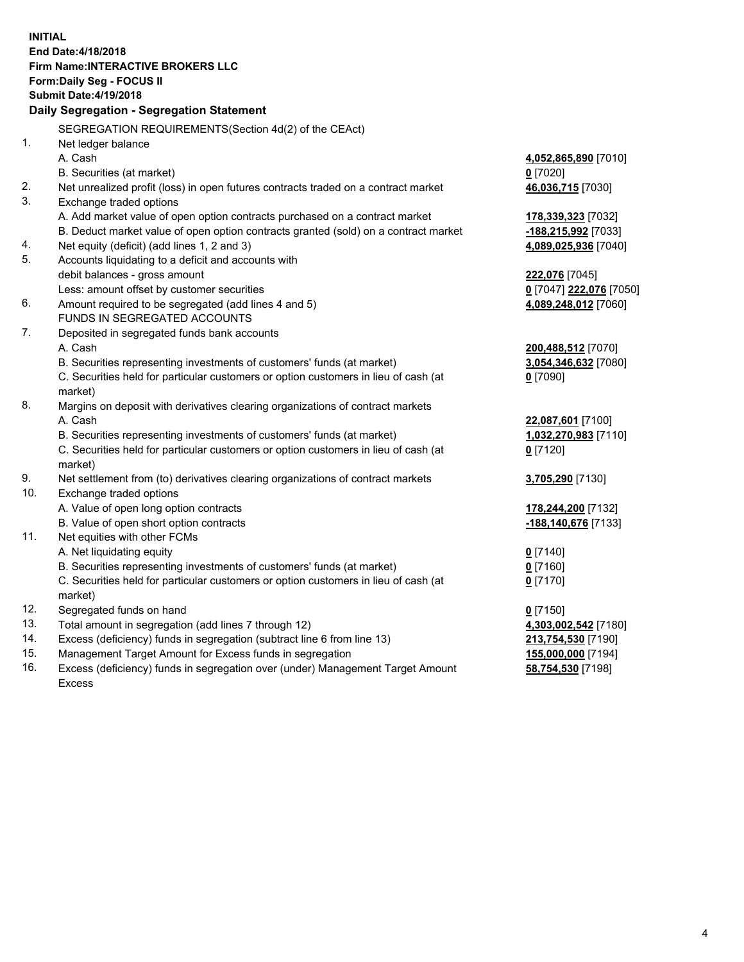**INITIAL End Date:4/18/2018 Firm Name:INTERACTIVE BROKERS LLC Form:Daily Seg - FOCUS II Submit Date:4/19/2018 Daily Segregation - Segregation Statement** SEGREGATION REQUIREMENTS(Section 4d(2) of the CEAct) 1. Net ledger balance A. Cash **4,052,865,890** [7010] B. Securities (at market) **0** [7020] 2. Net unrealized profit (loss) in open futures contracts traded on a contract market **46,036,715** [7030] 3. Exchange traded options A. Add market value of open option contracts purchased on a contract market **178,339,323** [7032] B. Deduct market value of open option contracts granted (sold) on a contract market **-188,215,992** [7033] 4. Net equity (deficit) (add lines 1, 2 and 3) **4,089,025,936** [7040] 5. Accounts liquidating to a deficit and accounts with debit balances - gross amount **222,076** [7045] Less: amount offset by customer securities **0** [7047] **222,076** [7050] 6. Amount required to be segregated (add lines 4 and 5) **4,089,248,012** [7060] FUNDS IN SEGREGATED ACCOUNTS 7. Deposited in segregated funds bank accounts A. Cash **200,488,512** [7070] B. Securities representing investments of customers' funds (at market) **3,054,346,632** [7080] C. Securities held for particular customers or option customers in lieu of cash (at market) **0** [7090] 8. Margins on deposit with derivatives clearing organizations of contract markets A. Cash **22,087,601** [7100] B. Securities representing investments of customers' funds (at market) **1,032,270,983** [7110] C. Securities held for particular customers or option customers in lieu of cash (at market) **0** [7120] 9. Net settlement from (to) derivatives clearing organizations of contract markets **3,705,290** [7130] 10. Exchange traded options A. Value of open long option contracts **178,244,200** [7132] B. Value of open short option contracts **-188,140,676** [7133] 11. Net equities with other FCMs A. Net liquidating equity **0** [7140] B. Securities representing investments of customers' funds (at market) **0** [7160] C. Securities held for particular customers or option customers in lieu of cash (at market) **0** [7170] 12. Segregated funds on hand **0** [7150] 13. Total amount in segregation (add lines 7 through 12) **4,303,002,542** [7180] 14. Excess (deficiency) funds in segregation (subtract line 6 from line 13) **213,754,530** [7190] 15. Management Target Amount for Excess funds in segregation **155,000,000** [7194]

16. Excess (deficiency) funds in segregation over (under) Management Target Amount Excess

**58,754,530** [7198]